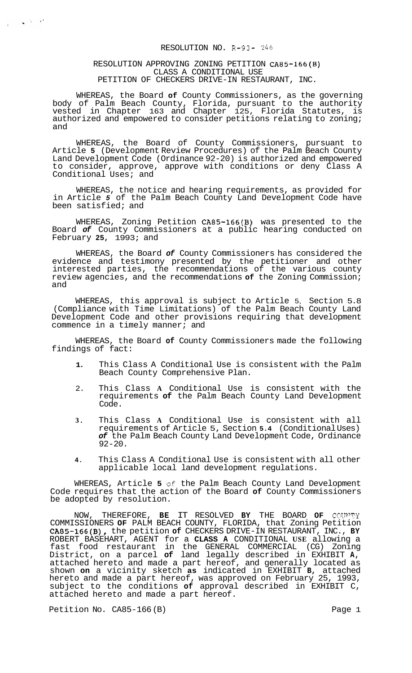#### RESOLUTION NO. R-93- *246*

#### RESOLUTION APPROVING ZONING PETITION CA85-166(B) CLASS A CONDITIONAL USE PETITION OF CHECKERS DRIVE-IN RESTAURANT, INC.

 $\frac{1}{2} \left( \frac{1}{2} \left( \frac{1}{2} \frac{1}{2} \right) \frac{1}{2} \right) \frac{1}{2} \left( \frac{1}{2} \left( \frac{1}{2} \right) \frac{1}{2} \right)$ 

WHEREAS, the Board **of** County Commissioners, as the governing body of Palm Beach County, Florida, pursuant to the authority vested in Chapter 163 and Chapter 125, Florida Statutes, is authorized and empowered to consider petitions relating to zoning; and

WHEREAS, the Board of County Commissioners, pursuant to Article **5** (Development Review Procedures) of the Palm Beach County Land Development Code (Ordinance 92-20) is authorized and empowered to consider, approve, approve with conditions or deny Class A Conditional Uses; and

WHEREAS, the notice and hearing requirements, as provided for in Article *5* of the Palm Beach County Land Development Code have been satisfied; and

WHEREAS, Zoning Petition CA85-166(B) was presented to the Board *of* County Commissioners at a public hearing conducted on February **25,** 1993; and

WHEREAS, the Board *of* County Commissioners has considered the evidence and testimony presented by the petitioner and other interested parties, the recommendations of the various county review agencies, and the recommendations **of** the Zoning Commission; and

WHEREAS, this approval is subject to Article 5, Section 5.8 (Compliance with Time Limitations) of the Palm Beach County Land Development Code and other provisions requiring that development commence in a timely manner; and

WHEREAS, the Board **of** County Commissioners made the following findings of fact:

- **1.** This Class A Conditional Use is consistent with the Palm Beach County Comprehensive Plan.
- 2. This Class **A** Conditional Use is consistent with the requirements **of** the Palm Beach County Land Development Code.
- **3.** This Class **A** Conditional Use is consistent with all requirements of Article 5, Section **5.4** (Conditional Uses) *of* the Palm Beach County Land Development Code, Ordinance  $92 - 20.$
- **4.** This Class A Conditional Use is consistent with all other applicable local land development regulations.

WHEREAS, Article **5 OX** the Palm Beach County Land Development Code requires that the action of the Board **of** County Commissioners be adopted by resolution.

NOW, THEREFORE, **BE** IT RESOLVED **BY** THE BOARD **OF CRTTWY**  COMMISSIONERS **OF** PALM BEACH COUNTY, FLORIDA, that Zoning Petition CA85-166(B), the petition **of** CHECKERS DRIVE-IN RESTAURANT, INC., **BY**  ROBERT BASEHART, AGENT for a **CLASS A** CONDITIONAL **USE** allowing a fast food restaurant in the GENERAL COMMERCIAL (CG) Zoning District, on a parcel **of** land legally described in EXHIBIT **A,**  attached hereto and made a part hereof, and generally located as shown **on** a vicinity sketch **as** indicated in EXHIBIT **B,** attached hereto and made a part hereof, was approved on February 25, 1993, subject to the conditions **of** approval described in EXHIBIT C, attached hereto and made a part hereof.

Petition No. CA85-166 (B) Page 1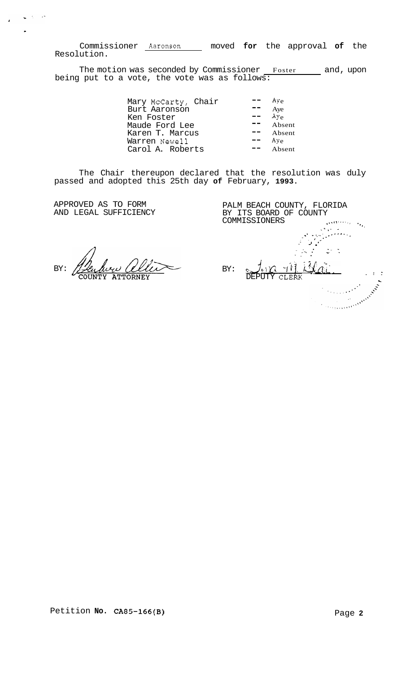Commissioner Aaronson moved for the approval of the Resolution.

The motion was seconded by Commissioner Foster and, upon<br>being put to a vote, the vote was as follows:

| Aye          |
|--------------|
| Aye          |
| $A\bar{v}_e$ |
| Absent       |
| Absent       |
| $A$ ye       |
| Absent       |
|              |

The Chair thereupon declared that the resolution was duly passed and adopted this 25th day of February, 1993.

APPROVED AS TO FORM AND LEGAL SUFFICIENCY

 $\zeta_{\rm c}$  for  $\zeta_{\rm c}$ 

 $\mathbf{A}$ 

 $BY:$ 

PALM BEACH COUNTY, FLORIDA BY ITS BOARD OF COUNTY amma<br>Linda<br>September<br>Gal COMMISSIONERS  $\frac{1}{2} \frac{1}{2} \frac{1}{2}$  $\mathcal{L}$ BY:  $411$  $\alpha$  ,  $\alpha$  ,  $\beta$ CLERK Communication of the Communication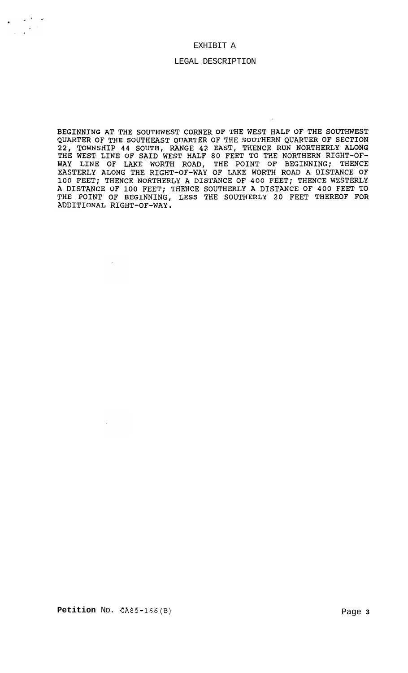#### EXHIBIT A

 $\sim 10^{-4}$ 

 $\ddot{\phantom{a}}$ 

#### LEGAL DESCRIPTION

BEGINNING AT THE SOUTHWEST CORNER OF THE WEST HALF OF THE SOUTHWEST QUARTER OF THE SOUTHEAST QUARTER OF THE SOUTHERN QUARTER OF SECTION<br>22, TOWNSHIP 44 SOUTH, RANGE 42 EAST, THENCE RUN NORTHERLY ALONG<br>THE WEST LINE OF SAID WEST HALF 80 FEET TO THE NORTHERN RIGHT-OF-WAY LINE OF LAKE WORTH ROAD, THE POINT OF BEGINNING; THENCE<br>EASTERLY ALONG THE RIGHT-OF-WAY OF LAKE WORTH ROAD A DISTANCE OF 100 FEET; THENCE NORTHERLY A DISTANCE OF 400 FEET; THENCE WESTERLY<br>A DISTANCE OF 100 FEET; THENCE SOUTHERLY A DISTANCE OF 400 FEET TO<br>THE POINT OF BEGINNING, LESS THE SOUTHERLY 20 FEET THEREOF FOR ADDITIONAL RIGHT-OF-WAY.

 $\mathcal{L}$ 

 $\sim$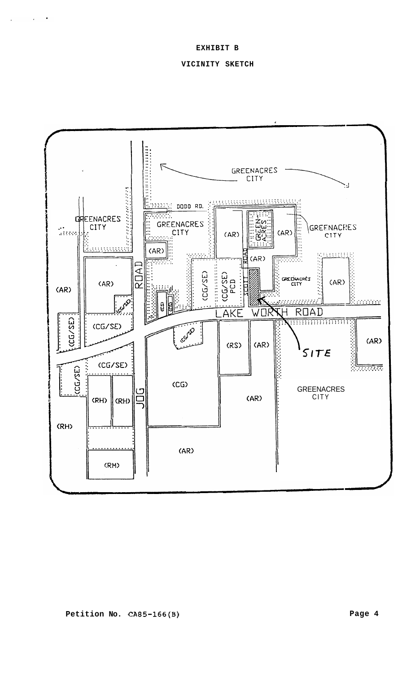### VICINITY SKETCH

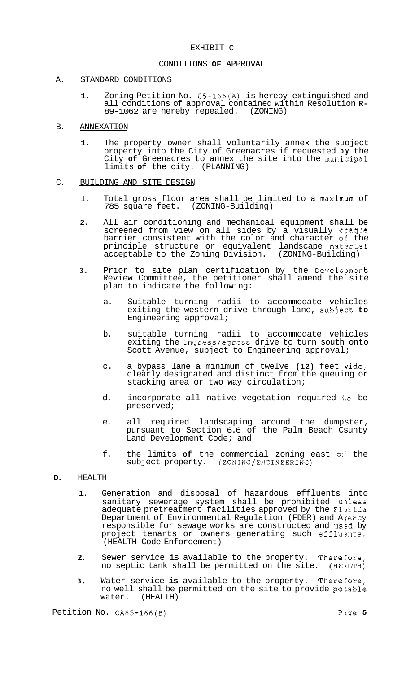# EXHIBIT C

# CONDITIONS **OF** APPROVAL

#### A. STANDARD CONDITIONS

1. Zoning Petition No. 85-166(A) is hereby extinguished and all conditions of approval contained within Resolution **R-** 89-1062 are hereby repealed. (ZONING)

#### B. ANNEXATION

1. The property owner shall voluntarily annex the suoject property into the City of Greenacres if requested **by** the City **of** Greenacres to annex the site into the munizipal limits **of** the city. (PLANNING)

### C. BUILDING AND SITE DESIGN

- 1. Total gross floor area shall be limited to a maximlm of 785 square feet. (ZONING-Building)
- **2.** All air conditioning and mechanical equipment shall be screened from view on all sides by a visually opaque barrier consistent with the color and character of the principle structure or equivalent landscape mat $\mathfrak s$ rial acceptable to the Zoning Division. (ZONING-Building)
- **3.** Prior to site plan certification by the Develo?ment Review Committee, the petitioner shall amend the site plan to indicate the following:
	- a. Suitable turning radii to accommodate vehicles exiting the western drive-through lane, subjezt **to**  Engineering approval;
	- b. suitable turning radii to accommodate vehicles exiting the ingress/egress drive to turn south onto Scott Avenue, subject to Engineering approval;
	- c. a bypass lane a minimum of twelve (12) feet wide, clearly designated and distinct from the queuing or stacking area or two way circulation;
	- d. incorporate all native vegetation required **110** be preserved;
	- e. all required landscaping around the dumpster, pursuant to Section 6.6 of the Palm Beach Csunty Land Development Code; and
	- f. the limits **of** the commercial zoning east **oj'** the subject property. (ZONING/ENGINEERING)

#### **D.** HEALTH

- 1. Generation and disposal of hazardous effluents into sanitary sewerage system shall be prohibited unless adequate pretreatment facilities approved by the Florida Department of Environmental Regulation (FDER) and Ajency responsible for sewage works are constructed and used by project tenants or owners generating such effluznts. (HEALTH-Code Enforcement)
- **2.** Sewer service is available to the property. Therefore,<br>no septic tank shall be permitted on the site. (HE\LTH) no septic tank shall be permitted on the site.
- **3.** Water service **is** available to the property. There€ore, no well shall be permitted on the site to provide pozable water. (HEALTH)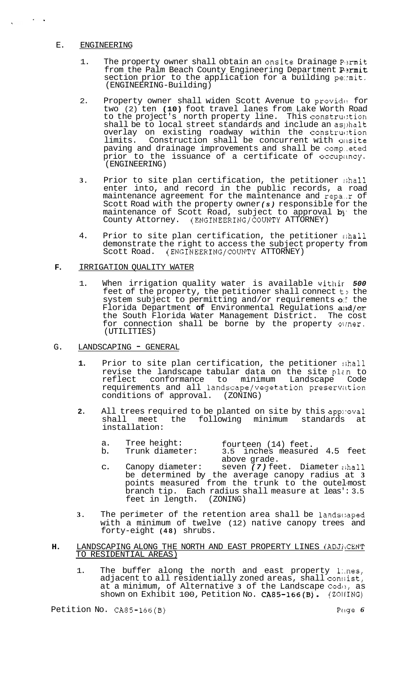# E. ENGINEERING

 $\frac{1}{2} \left( \frac{1}{2} \right) \left( \frac{1}{2} \right) = \frac{1}{2}$ 

- 1. The property owner shall obtain an onsite Drainage Permit from the Palm Beach County Engineering Department Permit section prior to the application for a building pe:rmit. (ENGINEERING-Building)
- 2. Property owner shall widen Scott Avenue to provide for two (2) ten **(10)** foot travel lanes from Lake Worth Road to the project's north property line. This construction shall be to local street standards and include an asphalt overlay on existing roadway within the construction<br>limits. Construction shall be concurrent with onsite Construction shall be concurrent with onsite paving and drainage improvements and shall be comp..eted prior to the issuance of a certificate of occupancy. (ENGINEERING)
- **3.** Prior to site plan certification, the petitioner :;hall enter into, and record in the public records, a road maintenance agreement for the maintenance and repa..r of Scott Road with the property owner *(s)* responsible for the maintenance of Scott Road, subject to approval **b**) the County Attorney. (ENGINEERING/COUNTY ATTORNEY)
- 4. Prior to site plan certification, the petitioner shall demonstrate the right to access the subject property from Scott Road. (ENGINEERING/COUNTY ATTORNEY)

### **F.** IRRIGATION QUALITY WATER

- 1. When irrigation quality water is available withir *500*  feet of the property, the petitioner shall connect  $t$  ; the system subject to permitting and/or requirements *0::* the Florida Department **of** Environmental Regulations alld/or the South Florida Water Management District. The cost for connection shall be borne by the property ouner. (UTILITIES)
- G. LANDSCAPING GENERAL
	- 1. Prior to site plan certification, the petitioner shall revise the landscape tabular data on the site plan to reflect conformance to minimum Landscape Code requirements and all landscape/vegetation preserviltion conditions of approval. (ZONING)
	- **2.** All trees required to be planted on site by this appnoval shall meet the following minimum standards at installation:
		- a. Tree height: fourteen (14) feet.
		- b. Trunk diameter: 3.5 inches measured 4.5 feet above grade.
		- c. Canopy diameter: seven (7) feet. Diameter shall be determined by the average canopy radius at **3**  points measured from the trunk to the outel-most branch tip. Each radius shall measure at leas': 3.5 feet in length. (ZONING) feet in length.
	- **3.** The perimeter of the retention area shall be 1andsc:aped with a minimum of twelve (12) native canopy trees and forty-eight **(48)** shrubs.

# **H.** LANDSCAPING ALONG THE NORTH AND EAST PROPERTY LINES (ADJACENT TO RESIDENTIAL AREAS)

1. The buffer along the north and east property lines, adjacent to all residentially zoned areas,  ${\tt shall}$  consist, at a minimum, of Alternative **3** of the Landscape Codc!, as shown on Exhibit 100, Petition No. CA85-166(B). (ZOIIING)

Petition No. CA85-166(B) Petition No. CA85-166(B)